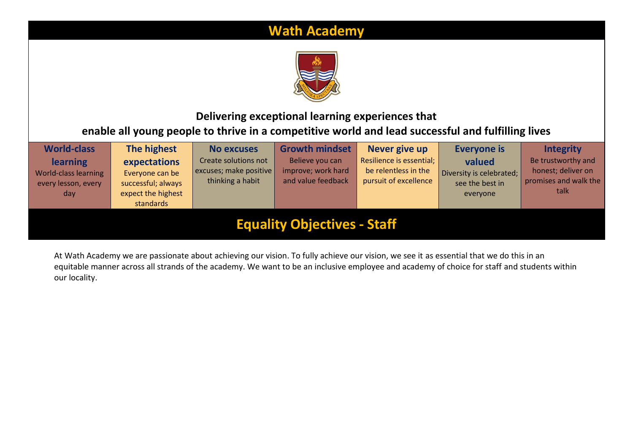# **Wath Academy**



## **Delivering exceptional learning experiences that enable all young people to thrive in a competitive world and lead successful and fulfilling lives**

| <b>World-class</b>                                                    | The highest                                                                              | <b>No excuses</b>                                                  | <b>Growth mindset</b>                                       | Never give up                                                             | <b>Everyone is</b>                                                | <b>Integrity</b>                                                          |
|-----------------------------------------------------------------------|------------------------------------------------------------------------------------------|--------------------------------------------------------------------|-------------------------------------------------------------|---------------------------------------------------------------------------|-------------------------------------------------------------------|---------------------------------------------------------------------------|
| <b>learning</b><br>World-class learning<br>every lesson, every<br>day | expectations<br>Everyone can be<br>successful; always<br>expect the highest<br>standards | Create solutions not<br>excuses; make positive<br>thinking a habit | Believe you can<br>improve; work hard<br>and value feedback | Resilience is essential;<br>be relentless in the<br>pursuit of excellence | valued<br>Diversity is celebrated;<br>see the best in<br>everyone | Be trustworthy and<br>honest; deliver on<br>promises and walk the<br>talk |
| <b>Equality Objectives - Staff</b>                                    |                                                                                          |                                                                    |                                                             |                                                                           |                                                                   |                                                                           |

At Wath Academy we are passionate about achieving our vision. To fully achieve our vision, we see it as essential that we do this in an equitable manner across all strands of the academy. We want to be an inclusive employee and academy of choice for staff and students within our locality.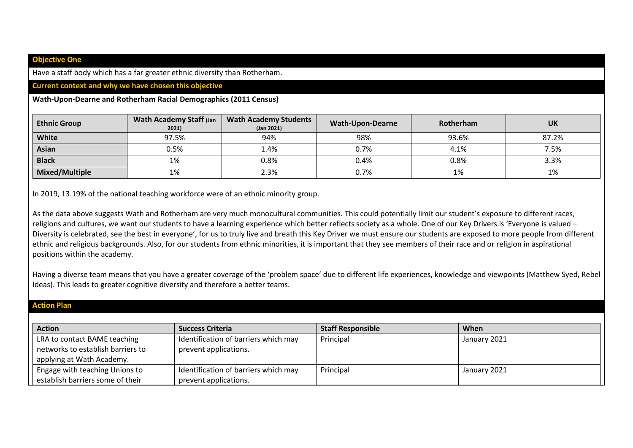#### **Objective One**

Have a staff body which has a far greater ethnic diversity than Rotherham.

### **Current context and why we have chosen this objective**

#### **Wath-Upon-Dearne and Rotherham Racial Demographics (2011 Census)**

| <b>Ethnic Group</b>   | <b>Wath Academy Staff (Jan</b><br>2021) | <b>Wath Academy Students</b><br>(Jan 2021) | <b>Wath-Upon-Dearne</b> | Rotherham | <b>UK</b> |
|-----------------------|-----------------------------------------|--------------------------------------------|-------------------------|-----------|-----------|
| White                 | 97.5%                                   | 94%                                        | 98%                     | 93.6%     | 87.2%     |
| <b>Asian</b>          | 0.5%                                    | 1.4%                                       | 0.7%                    | 4.1%      | 7.5%      |
| <b>Black</b>          | 1%                                      | 0.8%                                       | 0.4%                    | 0.8%      | 3.3%      |
| <b>Mixed/Multiple</b> | 1%                                      | 2.3%                                       | 0.7%                    | 1%        | 1%        |

In 2019, 13.19% of the national teaching workforce were of an ethnic minority group.

As the data above suggests Wath and Rotherham are very much monocultural communities. This could potentially limit our student's exposure to different races, religions and cultures, we want our students to have a learning experience which better reflects society as a whole. One of our Key Drivers is 'Everyone is valued -Diversity is celebrated, see the best in everyone', for us to truly live and breath this Key Driver we must ensure our students are exposed to more people from different ethnic and religious backgrounds. Also, for our students from ethnic minorities, it is important that they see members of their race and or religion in aspirational positions within the academy.

Having a diverse team means that you have a greater coverage of the 'problem space' due to different life experiences, knowledge and viewpoints (Matthew Syed, Rebel Ideas). This leads to greater cognitive diversity and therefore a better teams.

## **Action Plan**

| <b>Action</b>                     | <b>Success Criteria</b>              | <b>Staff Responsible</b> | When         |
|-----------------------------------|--------------------------------------|--------------------------|--------------|
| LRA to contact BAME teaching      | Identification of barriers which may | Principal                | January 2021 |
| networks to establish barriers to | prevent applications.                |                          |              |
| applying at Wath Academy.         |                                      |                          |              |
| Engage with teaching Unions to    | Identification of barriers which may | Principal                | January 2021 |
| establish barriers some of their  | prevent applications.                |                          |              |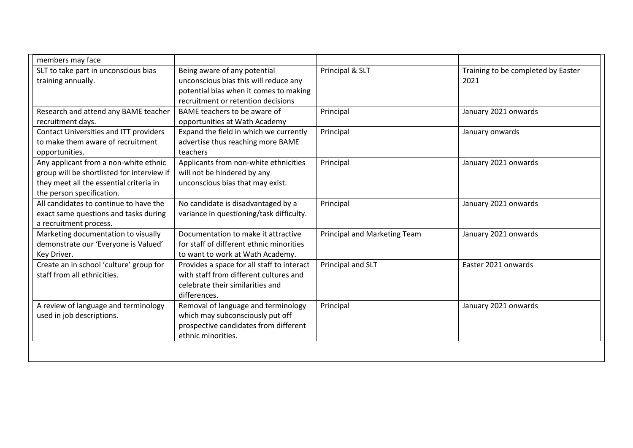| members may face                           |                                            |                                     |                                    |
|--------------------------------------------|--------------------------------------------|-------------------------------------|------------------------------------|
| SLT to take part in unconscious bias       | Being aware of any potential               | Principal & SLT                     | Training to be completed by Easter |
| training annually.                         | unconscious bias this will reduce any      |                                     | 2021                               |
|                                            | potential bias when it comes to making     |                                     |                                    |
|                                            | recruitment or retention decisions         |                                     |                                    |
| Research and attend any BAME teacher       | BAME teachers to be aware of               | Principal                           | January 2021 onwards               |
| recruitment days.                          | opportunities at Wath Academy              |                                     |                                    |
| Contact Universities and ITT providers     | Expand the field in which we currently     | Principal                           | January onwards                    |
| to make them aware of recruitment          | advertise thus reaching more BAME          |                                     |                                    |
| opportunities.                             | teachers                                   |                                     |                                    |
| Any applicant from a non-white ethnic      | Applicants from non-white ethnicities      | Principal                           | January 2021 onwards               |
| group will be shortlisted for interview if | will not be hindered by any                |                                     |                                    |
| they meet all the essential criteria in    | unconscious bias that may exist.           |                                     |                                    |
| the person specification.                  |                                            |                                     |                                    |
| All candidates to continue to have the     | No candidate is disadvantaged by a         | Principal                           | January 2021 onwards               |
| exact same questions and tasks during      | variance in questioning/task difficulty.   |                                     |                                    |
| a recruitment process.                     |                                            |                                     |                                    |
| Marketing documentation to visually        | Documentation to make it attractive        | <b>Principal and Marketing Team</b> | January 2021 onwards               |
| demonstrate our 'Everyone is Valued'       | for staff of different ethnic minorities   |                                     |                                    |
| Key Driver.                                | to want to work at Wath Academy.           |                                     |                                    |
| Create an in school 'culture' group for    | Provides a space for all staff to interact | Principal and SLT                   | Easter 2021 onwards                |
| staff from all ethnicities.                | with staff from different cultures and     |                                     |                                    |
|                                            | celebrate their similarities and           |                                     |                                    |
|                                            | differences.                               |                                     |                                    |
| A review of language and terminology       | Removal of language and terminology        | Principal                           | January 2021 onwards               |
| used in job descriptions.                  | which may subconsciously put off           |                                     |                                    |
|                                            | prospective candidates from different      |                                     |                                    |
|                                            | ethnic minorities.                         |                                     |                                    |
|                                            |                                            |                                     |                                    |
|                                            |                                            |                                     |                                    |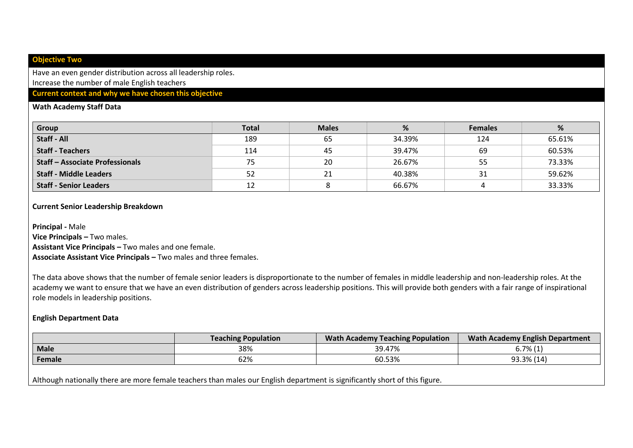#### **Objective Two**

Have an even gender distribution across all leadership roles. Increase the number of male English teachers

## **Current context and why we have chosen this objective**

#### **Wath Academy Staff Data**

| Group                                | <b>Total</b> | <b>Males</b> | %      | <b>Females</b> | %      |
|--------------------------------------|--------------|--------------|--------|----------------|--------|
| <b>Staff - All</b>                   | 189          | 65           | 34.39% | 124            | 65.61% |
| <b>Staff - Teachers</b>              | 114          | 45           | 39.47% | 69             | 60.53% |
| <b>Staff-Associate Professionals</b> | 75           | 20           | 26.67% | 55             | 73.33% |
| <b>Staff - Middle Leaders</b>        | 52           |              | 40.38% | 31             | 59.62% |
| <b>Staff - Senior Leaders</b>        | 1 ገ<br>ΤT    |              | 66.67% |                | 33.33% |

#### **Current Senior Leadership Breakdown**

**Principal -** Male

**Vice Principals –** Two males.

**Assistant Vice Principals –** Two males and one female.

**Associate Assistant Vice Principals –** Two males and three females.

The data above shows that the number of female senior leaders is disproportionate to the number of females in middle leadership and non-leadership roles. At the academy we want to ensure that we have an even distribution of genders across leadership positions. This will provide both genders with a fair range of inspirational role models in leadership positions.

#### **English Department Data**

|             | <b>Teaching Population</b> | <b>Wath Academy Teaching Population</b> | <b>Wath Academy English Department</b> |
|-------------|----------------------------|-----------------------------------------|----------------------------------------|
| <b>Male</b> | 38%                        | 39.47%                                  | $6.7\%$ (1)                            |
| Female      | 62%                        | 60.53%                                  | 93.3% (14)                             |
|             |                            |                                         |                                        |

Although nationally there are more female teachers than males our English department is significantly short of this figure.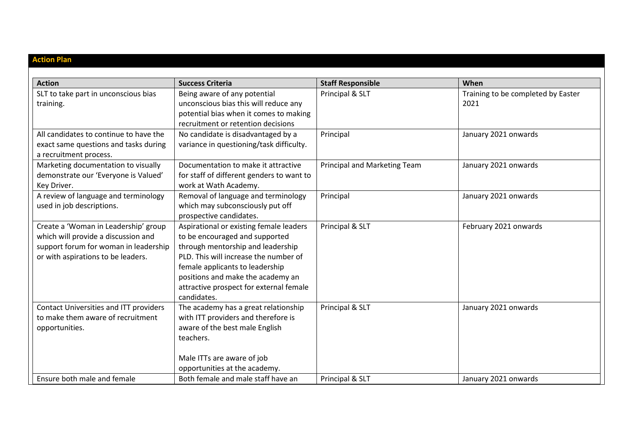| <b>Action Plan</b>                                                                                                                                         |                                                                                                                                                                                                                                                                                           |                              |                                            |
|------------------------------------------------------------------------------------------------------------------------------------------------------------|-------------------------------------------------------------------------------------------------------------------------------------------------------------------------------------------------------------------------------------------------------------------------------------------|------------------------------|--------------------------------------------|
| <b>Action</b>                                                                                                                                              | <b>Success Criteria</b>                                                                                                                                                                                                                                                                   | <b>Staff Responsible</b>     | When                                       |
| SLT to take part in unconscious bias<br>training.                                                                                                          | Being aware of any potential<br>unconscious bias this will reduce any<br>potential bias when it comes to making<br>recruitment or retention decisions                                                                                                                                     | Principal & SLT              | Training to be completed by Easter<br>2021 |
| All candidates to continue to have the<br>exact same questions and tasks during<br>a recruitment process.                                                  | No candidate is disadvantaged by a<br>variance in questioning/task difficulty.                                                                                                                                                                                                            | Principal                    | January 2021 onwards                       |
| Marketing documentation to visually<br>demonstrate our 'Everyone is Valued'<br>Key Driver.                                                                 | Documentation to make it attractive<br>for staff of different genders to want to<br>work at Wath Academy.                                                                                                                                                                                 | Principal and Marketing Team | January 2021 onwards                       |
| A review of language and terminology<br>used in job descriptions.                                                                                          | Removal of language and terminology<br>which may subconsciously put off<br>prospective candidates.                                                                                                                                                                                        | Principal                    | January 2021 onwards                       |
| Create a 'Woman in Leadership' group<br>which will provide a discussion and<br>support forum for woman in leadership<br>or with aspirations to be leaders. | Aspirational or existing female leaders<br>to be encouraged and supported<br>through mentorship and leadership<br>PLD. This will increase the number of<br>female applicants to leadership<br>positions and make the academy an<br>attractive prospect for external female<br>candidates. | Principal & SLT              | February 2021 onwards                      |
| Contact Universities and ITT providers<br>to make them aware of recruitment<br>opportunities.                                                              | The academy has a great relationship<br>with ITT providers and therefore is<br>aware of the best male English<br>teachers.<br>Male ITTs are aware of job<br>opportunities at the academy.                                                                                                 | Principal & SLT              | January 2021 onwards                       |
| Ensure both male and female                                                                                                                                | Both female and male staff have an                                                                                                                                                                                                                                                        | Principal & SLT              | January 2021 onwards                       |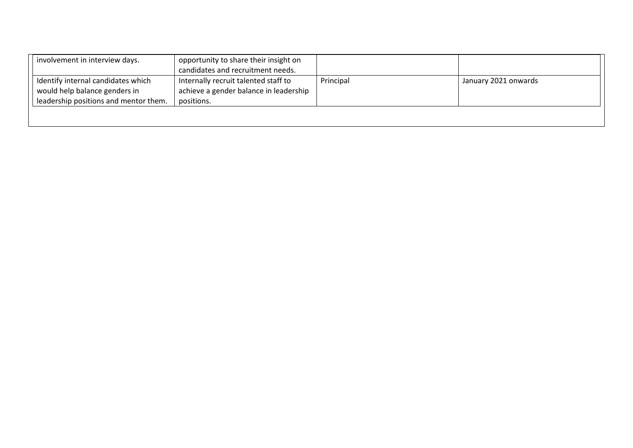| involvement in interview days.                                                                               | opportunity to share their insight on<br>candidates and recruitment needs.                   |           |                      |
|--------------------------------------------------------------------------------------------------------------|----------------------------------------------------------------------------------------------|-----------|----------------------|
| Identify internal candidates which<br>would help balance genders in<br>leadership positions and mentor them. | Internally recruit talented staff to<br>achieve a gender balance in leadership<br>positions. | Principal | January 2021 onwards |
|                                                                                                              |                                                                                              |           |                      |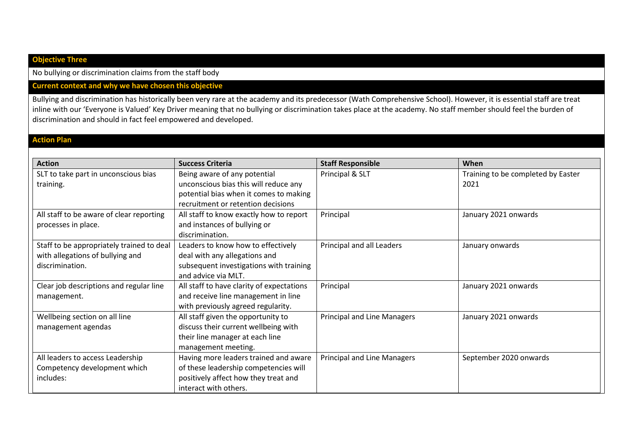## **Objective Three**

No bullying or discrimination claims from the staff body

## **Current context and why we have chosen this objective**

Bullying and discrimination has historically been very rare at the academy and its predecessor (Wath Comprehensive School). However, it is essential staff are treat inline with our 'Everyone is Valued' Key Driver meaning that no bullying or discrimination takes place at the academy. No staff member should feel the burden of discrimination and should in fact feel empowered and developed.

## **Action Plan**

| <b>Action</b>                                                                                    | <b>Success Criteria</b>                                                                                                                               | <b>Staff Responsible</b>           | When                                       |
|--------------------------------------------------------------------------------------------------|-------------------------------------------------------------------------------------------------------------------------------------------------------|------------------------------------|--------------------------------------------|
| SLT to take part in unconscious bias<br>training.                                                | Being aware of any potential<br>unconscious bias this will reduce any<br>potential bias when it comes to making<br>recruitment or retention decisions | Principal & SLT                    | Training to be completed by Easter<br>2021 |
| All staff to be aware of clear reporting<br>processes in place.                                  | All staff to know exactly how to report<br>and instances of bullying or<br>discrimination.                                                            | Principal                          | January 2021 onwards                       |
| Staff to be appropriately trained to deal<br>with allegations of bullying and<br>discrimination. | Leaders to know how to effectively<br>deal with any allegations and<br>subsequent investigations with training<br>and advice via MLT.                 | Principal and all Leaders          | January onwards                            |
| Clear job descriptions and regular line<br>management.                                           | All staff to have clarity of expectations<br>and receive line management in line<br>with previously agreed regularity.                                | Principal                          | January 2021 onwards                       |
| Wellbeing section on all line<br>management agendas                                              | All staff given the opportunity to<br>discuss their current wellbeing with<br>their line manager at each line<br>management meeting.                  | <b>Principal and Line Managers</b> | January 2021 onwards                       |
| All leaders to access Leadership<br>Competency development which<br>includes:                    | Having more leaders trained and aware<br>of these leadership competencies will<br>positively affect how they treat and<br>interact with others.       | <b>Principal and Line Managers</b> | September 2020 onwards                     |